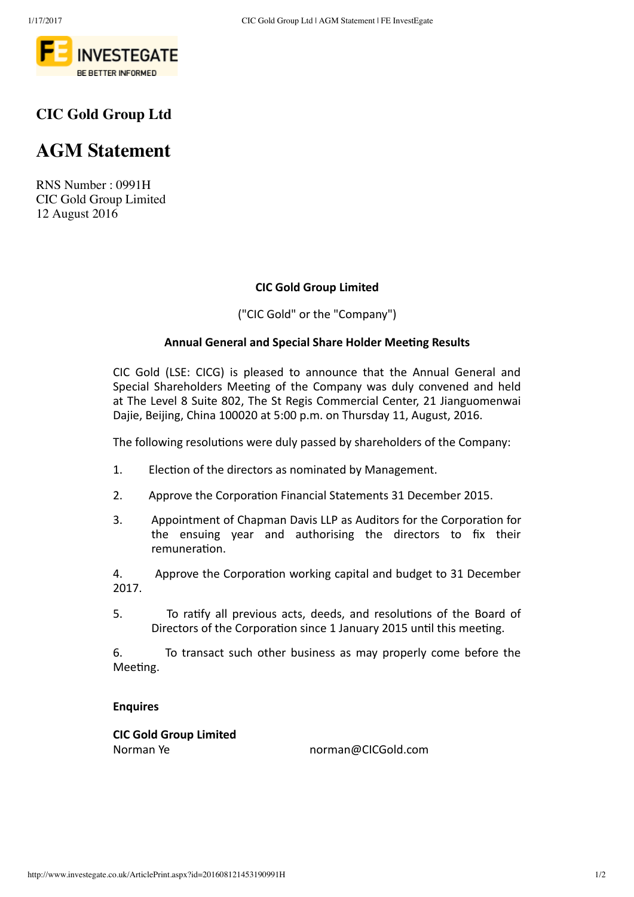

# **CIC Gold Group Ltd**

# **AGM Statement**

RNS Number : 0991H CIC Gold Group Limited 12 August 2016

#### **CIC Gold Group Limited**

("CIC Gold" or the "Company")

#### **Annual General and Special Share Holder Meeting Results**

CIC Gold (LSE: CICG) is pleased to announce that the Annual General and Special Shareholders Meeting of the Company was duly convened and held at The Level 8 Suite 802, The St Regis Commercial Center, 21 Jianguomenwai Dajie, Beijing, China 100020 at 5:00 p.m. on Thursday 11, August, 2016.

The following resolutions were duly passed by shareholders of the Company:

- 1. Election of the directors as nominated by Management.
- 2. Approve the Corporation Financial Statements 31 December 2015.
- 3. Appointment of Chapman Davis LLP as Auditors for the Corporation for the ensuing vear and authorising the directors to fix their remuneraƟon.

4. Approve the Corporation working capital and budget to 31 December 2017.

5. To ratify all previous acts, deeds, and resolutions of the Board of Directors of the Corporation since 1 January 2015 until this meeting.

6. To transact such other business as may properly come before the Meeting.

#### **Enquires**

**CIC Gold Group Limited** Norman Ye norman@CICGold.com